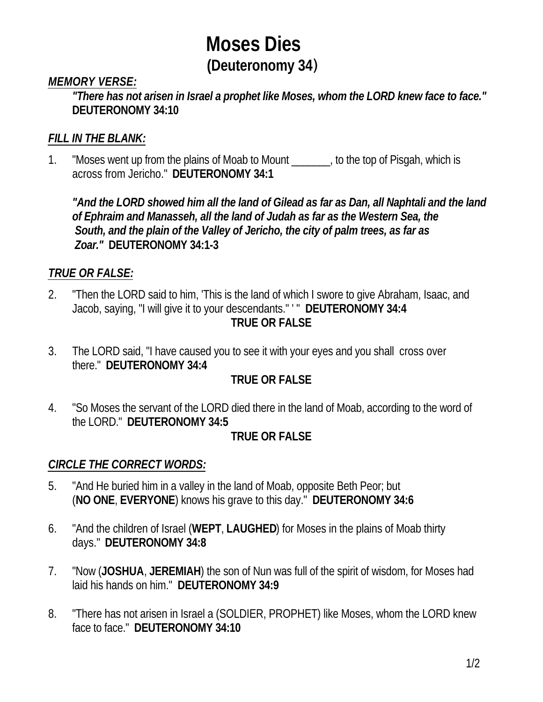# **Moses Dies (Deuteronomy 34**)

#### *MEMORY VERSE:*

*"There has not arisen in Israel a prophet like Moses, whom the LORD knew face to face."*  **DEUTERONOMY 34:10**

### *FILL IN THE BLANK:*

1. "Moses went up from the plains of Moab to Mount \_\_\_\_\_\_\_, to the top of Pisgah, which is across from Jericho." **DEUTERONOMY 34:1**

*"And the LORD showed him all the land of Gilead as far as Dan, all Naphtali and the land of Ephraim and Manasseh, all the land of Judah as far as the Western Sea, the South, and the plain of the Valley of Jericho, the city of palm trees, as far as Zoar."* **DEUTERONOMY 34:1-3**

### *TRUE OR FALSE:*

- 2. "Then the LORD said to him, 'This is the land of which I swore to give Abraham, Isaac, and Jacob, saying, "I will give it to your descendants." ' " **DEUTERONOMY 34:4 TRUE OR FALSE**
- 3. The LORD said, "I have caused you to see it with your eyes and you shall cross over there." **DEUTERONOMY 34:4**

# **TRUE OR FALSE**

4. "So Moses the servant of the LORD died there in the land of Moab, according to the word of the LORD." **DEUTERONOMY 34:5**

#### **TRUE OR FALSE**

#### *CIRCLE THE CORRECT WORDS:*

- 5. "And He buried him in a valley in the land of Moab, opposite Beth Peor; but (**NO ONE**, **EVERYONE**) knows his grave to this day." **DEUTERONOMY 34:6**
- 6. "And the children of Israel (**WEPT**, **LAUGHED**) for Moses in the plains of Moab thirty days." **DEUTERONOMY 34:8**
- 7. "Now (**JOSHUA**, **JEREMIAH**) the son of Nun was full of the spirit of wisdom, for Moses had laid his hands on him." **DEUTERONOMY 34:9**
- 8. "There has not arisen in Israel a (SOLDIER, PROPHET) like Moses, whom the LORD knew face to face."**DEUTERONOMY 34:10**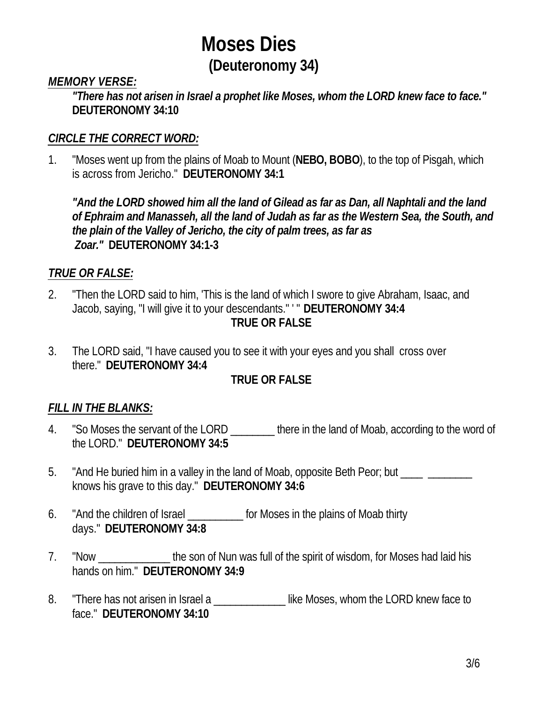# **Moses Dies (Deuteronomy 34)**

#### *MEMORY VERSE:*

*"There has not arisen in Israel a prophet like Moses, whom the LORD knew face to face."*  **DEUTERONOMY 34:10**

#### *CIRCLE THE CORRECT WORD:*

1. "Moses went up from the plains of Moab to Mount (**NEBO, BOBO**), to the top of Pisgah, which is across from Jericho." **DEUTERONOMY 34:1**

*"And the LORD showed him all the land of Gilead as far as Dan, all Naphtali and the land of Ephraim and Manasseh, all the land of Judah as far as the Western Sea, the South, and the plain of the Valley of Jericho, the city of palm trees, as far as Zoar."* **DEUTERONOMY 34:1-3**

# *TRUE OR FALSE:*

- 2. "Then the LORD said to him, 'This is the land of which I swore to give Abraham, Isaac, and Jacob, saying, "I will give it to your descendants." ' " **DEUTERONOMY 34:4 TRUE OR FALSE**
- 3. The LORD said, "I have caused you to see it with your eyes and you shall cross over there." **DEUTERONOMY 34:4**

# **TRUE OR FALSE**

#### *FILL IN THE BLANKS:*

- 4. "So Moses the servant of the LORD \_\_\_\_\_\_\_ there in the land of Moab, according to the word of the LORD." **DEUTERONOMY 34:5**
- 5. "And He buried him in a valley in the land of Moab, opposite Beth Peor; but \_\_\_\_ \_\_\_\_\_\_\_ knows his grave to this day." **DEUTERONOMY 34:6**
- 6. "And the children of Israel \_\_\_\_\_\_\_\_\_\_\_ for Moses in the plains of Moab thirty days." **DEUTERONOMY 34:8**
- 7. "Now the son of Nun was full of the spirit of wisdom, for Moses had laid his hands on him." **DEUTERONOMY 34:9**
- 8. There has not arisen in Israel a second the Moses, whom the LORD knew face to face." **DEUTERONOMY 34:10**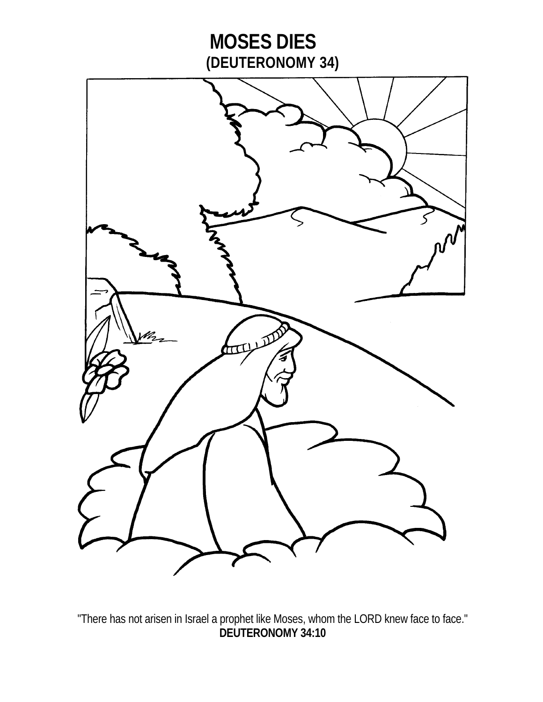

"There has not arisen in Israel a prophet like Moses, whom the LORD knew face to face." **DEUTERONOMY 34:10**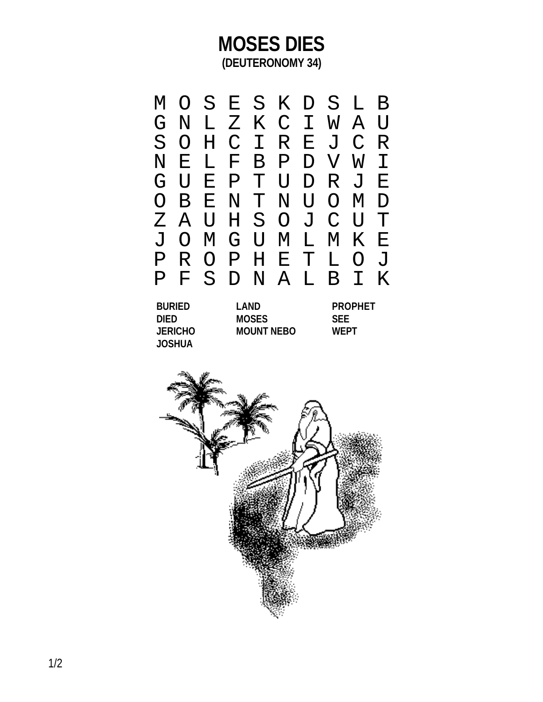# **MOSES DIES (DEUTERONOMY 34)**



**DIED MOSES JERICHO MOUNT NEB JOSHUA**

| O | <b>PROPHET</b><br><b>SEE</b><br><b>WFPT</b> |
|---|---------------------------------------------|
|   |                                             |
|   |                                             |

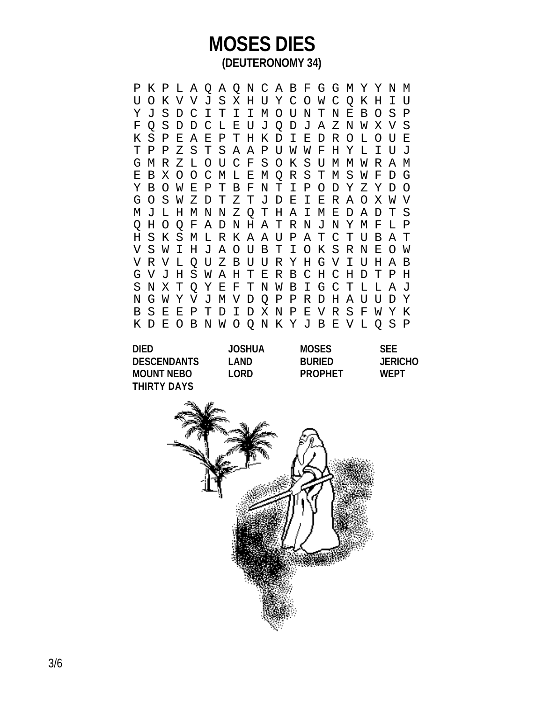# **MOSES DIES (DEUTERONOMY 34)**

P K P L A Q A Q N C A B F G G M Y Y N M U O K V V J S X H U Y C O W C Q K H I U Y J S D C I T I I M O U N T N E B O S P F Q S D D C L E U J Q D J A Z N W X V S K S P E A E P T H K D I E D R O L O U E T P P Z S T S A A P U W W F H Y L I U J G M R Z L O U C F S O K S U M M W R A M E B X O O C M L E M Q R S T M S W F D G Y B O W E P T B F N T I P O D Y Z Y D O G O S W Z D T Z T J D E I E R A O X W V M J L H M N N Z Q T H A I M E D A D T S Q H O Q F A D N H A T R N J N Y M F L P H S K S M L R K A A U P A T C T U B A T V S W I H J A O U B T I O K S R N E O W V R V L Q U Z B U U R Y H G V I U H A B G V J H S W A H T E R B C H C H D T P H S N X T Q Y E F T N W B I G C T L L A J N G W Y V J M V D Q P P R D H A U U D Y B S E E P T D I D X N P E V R S F W Y K K D E O B N W O Q N K Y J B E V L Q S P

| <b>DIED</b>        | <b>JOSHUA</b> | <b>MOSES</b>   | <b>SFF</b>     |
|--------------------|---------------|----------------|----------------|
| <b>DESCENDANTS</b> | I AND         | <b>BURIED</b>  | <b>JERICHO</b> |
| <b>MOUNT NEBO</b>  | I ORD         | <b>PROPHET</b> | WFPT           |
| THIRTY DAYS        |               |                |                |